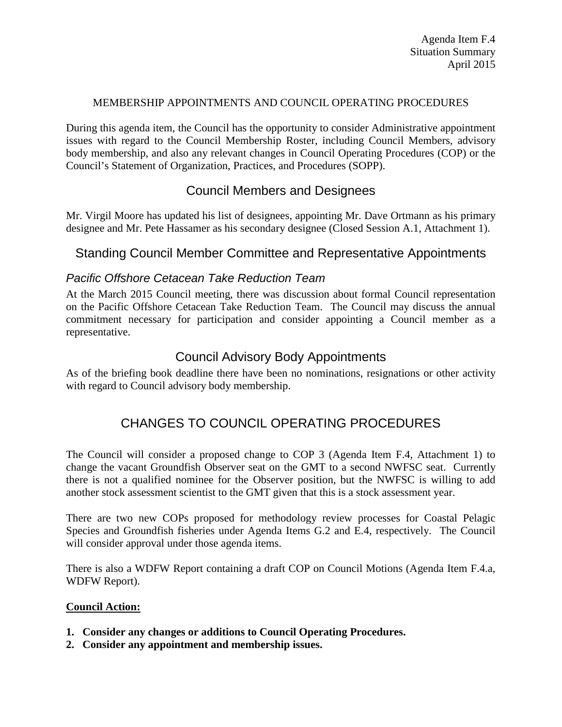### MEMBERSHIP APPOINTMENTS AND COUNCIL OPERATING PROCEDURES

During this agenda item, the Council has the opportunity to consider Administrative appointment issues with regard to the Council Membership Roster, including Council Members, advisory body membership, and also any relevant changes in Council Operating Procedures (COP) or the Council's Statement of Organization, Practices, and Procedures (SOPP).

# Council Members and Designees

Mr. Virgil Moore has updated his list of designees, appointing Mr. Dave Ortmann as his primary designee and Mr. Pete Hassamer as his secondary designee (Closed Session A.1, Attachment 1).

### Standing Council Member Committee and Representative Appointments

### *Pacific Offshore Cetacean Take Reduction Team*

At the March 2015 Council meeting, there was discussion about formal Council representation on the Pacific Offshore Cetacean Take Reduction Team. The Council may discuss the annual commitment necessary for participation and consider appointing a Council member as a representative.

## Council Advisory Body Appointments

As of the briefing book deadline there have been no nominations, resignations or other activity with regard to Council advisory body membership.

# CHANGES TO COUNCIL OPERATING PROCEDURES

The Council will consider a proposed change to COP 3 (Agenda Item F.4, Attachment 1) to change the vacant Groundfish Observer seat on the GMT to a second NWFSC seat. Currently there is not a qualified nominee for the Observer position, but the NWFSC is willing to add another stock assessment scientist to the GMT given that this is a stock assessment year.

There are two new COPs proposed for methodology review processes for Coastal Pelagic Species and Groundfish fisheries under Agenda Items G.2 and E.4, respectively. The Council will consider approval under those agenda items.

There is also a WDFW Report containing a draft COP on Council Motions (Agenda Item F.4.a, WDFW Report).

#### **Council Action:**

- **1. Consider any changes or additions to Council Operating Procedures.**
- **2. Consider any appointment and membership issues.**